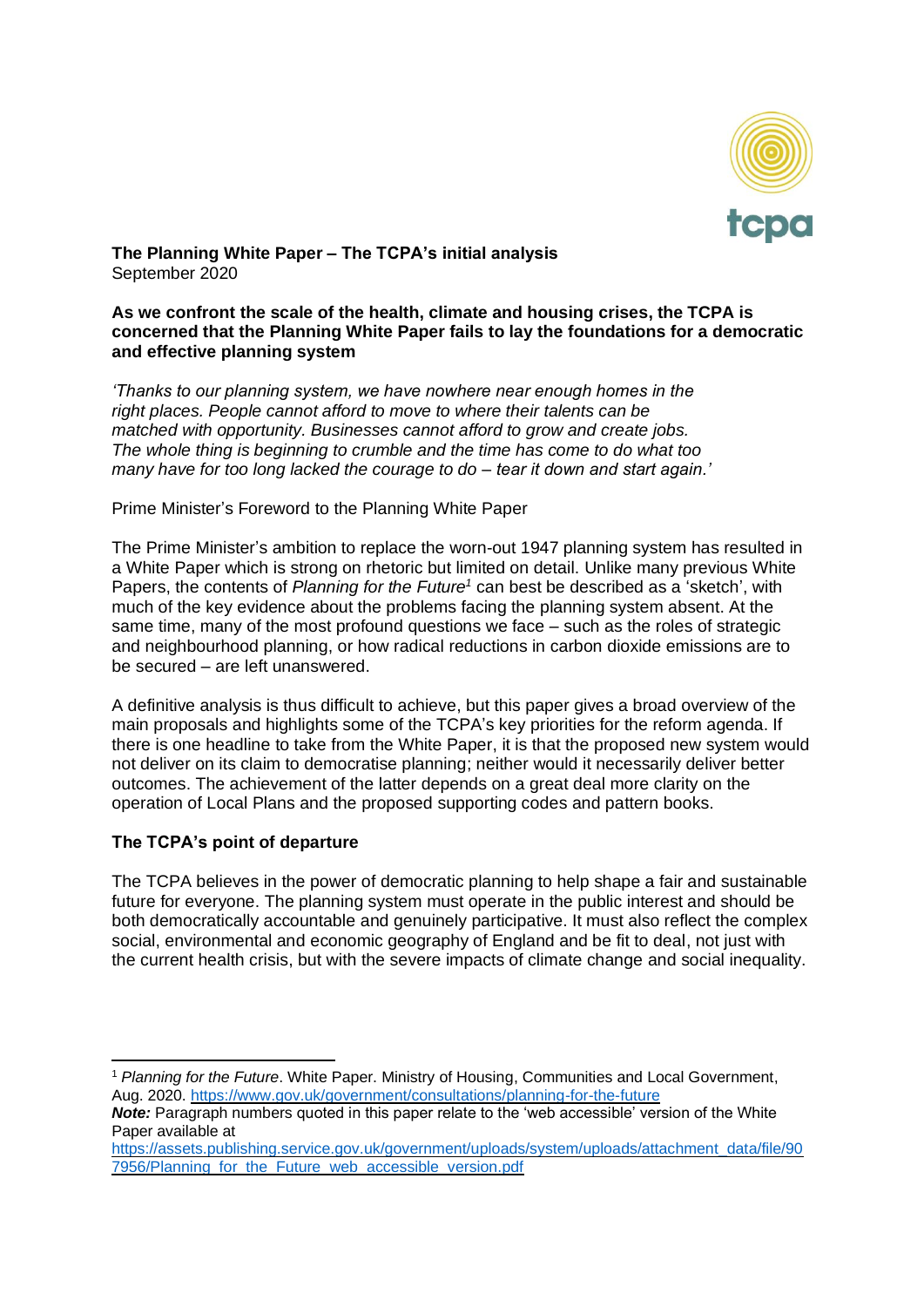

**The Planning White Paper – The TCPA's initial analysis** September 2020

#### **As we confront the scale of the health, climate and housing crises, the TCPA is concerned that the Planning White Paper fails to lay the foundations for a democratic and effective planning system**

*'Thanks to our planning system, we have nowhere near enough homes in the right places. People cannot afford to move to where their talents can be matched with opportunity. Businesses cannot afford to grow and create jobs. The whole thing is beginning to crumble and the time has come to do what too many have for too long lacked the courage to do – tear it down and start again.'*

## Prime Minister's Foreword to the Planning White Paper

The Prime Minister's ambition to replace the worn-out 1947 planning system has resulted in a White Paper which is strong on rhetoric but limited on detail. Unlike many previous White Papers, the contents of *Planning for the Future<sup>1</sup>* can best be described as a 'sketch', with much of the key evidence about the problems facing the planning system absent. At the same time, many of the most profound questions we face – such as the roles of strategic and neighbourhood planning, or how radical reductions in carbon dioxide emissions are to be secured – are left unanswered.

A definitive analysis is thus difficult to achieve, but this paper gives a broad overview of the main proposals and highlights some of the TCPA's key priorities for the reform agenda. If there is one headline to take from the White Paper, it is that the proposed new system would not deliver on its claim to democratise planning; neither would it necessarily deliver better outcomes. The achievement of the latter depends on a great deal more clarity on the operation of Local Plans and the proposed supporting codes and pattern books.

## **The TCPA's point of departure**

The TCPA believes in the power of democratic planning to help shape a fair and sustainable future for everyone. The planning system must operate in the public interest and should be both democratically accountable and genuinely participative. It must also reflect the complex social, environmental and economic geography of England and be fit to deal, not just with the current health crisis, but with the severe impacts of climate change and social inequality.

<sup>&</sup>lt;sup>1</sup> Planning for the Future. White Paper. Ministry of Housing, Communities and Local Government, Aug. 2020.<https://www.gov.uk/government/consultations/planning-for-the-future>

*Note:* Paragraph numbers quoted in this paper relate to the 'web accessible' version of the White Paper available at

[https://assets.publishing.service.gov.uk/government/uploads/system/uploads/attachment\\_data/file/90](https://assets.publishing.service.gov.uk/government/uploads/system/uploads/attachment_data/file/907956/Planning_for_the_Future_web_accessible_version.pdf) [7956/Planning\\_for\\_the\\_Future\\_web\\_accessible\\_version.pdf](https://assets.publishing.service.gov.uk/government/uploads/system/uploads/attachment_data/file/907956/Planning_for_the_Future_web_accessible_version.pdf)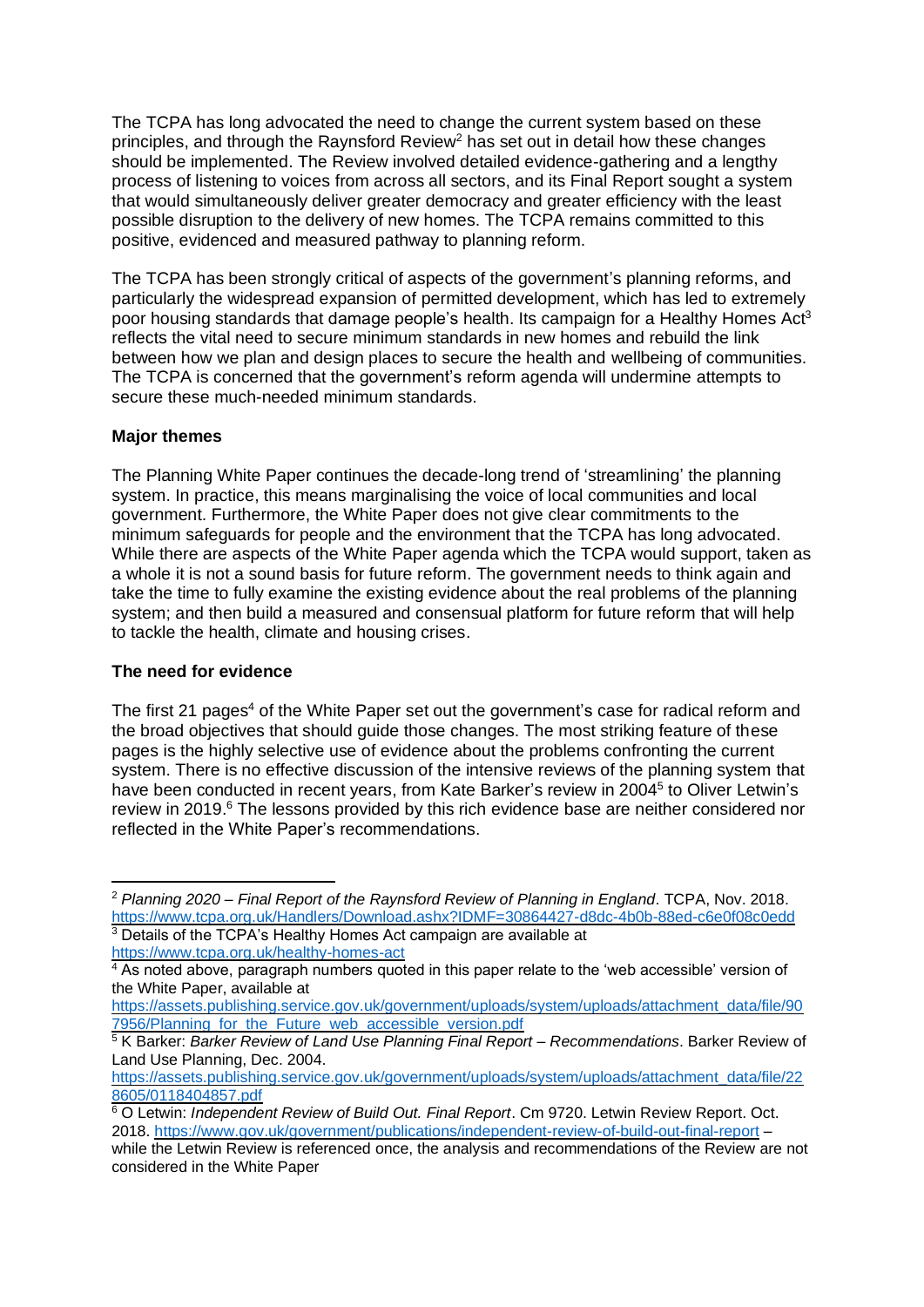The TCPA has long advocated the need to change the current system based on these principles, and through the Raynsford Review<sup>2</sup> has set out in detail how these changes should be implemented. The Review involved detailed evidence-gathering and a lengthy process of listening to voices from across all sectors, and its Final Report sought a system that would simultaneously deliver greater democracy and greater efficiency with the least possible disruption to the delivery of new homes. The TCPA remains committed to this positive, evidenced and measured pathway to planning reform.

The TCPA has been strongly critical of aspects of the government's planning reforms, and particularly the widespread expansion of permitted development, which has led to extremely poor housing standards that damage people's health. Its campaign for a Healthy Homes Act<sup>3</sup> reflects the vital need to secure minimum standards in new homes and rebuild the link between how we plan and design places to secure the health and wellbeing of communities. The TCPA is concerned that the government's reform agenda will undermine attempts to secure these much-needed minimum standards.

## **Major themes**

The Planning White Paper continues the decade-long trend of 'streamlining' the planning system. In practice, this means marginalising the voice of local communities and local government. Furthermore, the White Paper does not give clear commitments to the minimum safeguards for people and the environment that the TCPA has long advocated. While there are aspects of the White Paper agenda which the TCPA would support, taken as a whole it is not a sound basis for future reform. The government needs to think again and take the time to fully examine the existing evidence about the real problems of the planning system; and then build a measured and consensual platform for future reform that will help to tackle the health, climate and housing crises.

## **The need for evidence**

The first 21 pages<sup>4</sup> of the White Paper set out the government's case for radical reform and the broad objectives that should guide those changes. The most striking feature of these pages is the highly selective use of evidence about the problems confronting the current system. There is no effective discussion of the intensive reviews of the planning system that have been conducted in recent years, from Kate Barker's review in 2004<sup>5</sup> to Oliver Letwin's review in 2019.<sup>6</sup> The lessons provided by this rich evidence base are neither considered nor reflected in the White Paper's recommendations.

<sup>2</sup> *Planning 2020 – Final Report of the Raynsford Review of Planning in England*. TCPA, Nov. 2018. <https://www.tcpa.org.uk/Handlers/Download.ashx?IDMF=30864427-d8dc-4b0b-88ed-c6e0f08c0edd>  $3$  Details of the TCPA's Healthy Homes Act campaign are available at

<https://www.tcpa.org.uk/healthy-homes-act>

<sup>&</sup>lt;sup>4</sup> As noted above, paragraph numbers quoted in this paper relate to the 'web accessible' version of the White Paper, available at

[https://assets.publishing.service.gov.uk/government/uploads/system/uploads/attachment\\_data/file/90](https://assets.publishing.service.gov.uk/government/uploads/system/uploads/attachment_data/file/907956/Planning_for_the_Future_web_accessible_version.pdf) 7956/Planning for the Future web accessible version.pdf

<sup>5</sup> K Barker: *Barker Review of Land Use Planning Final Report – Recommendations*. Barker Review of Land Use Planning, Dec. 2004.

[https://assets.publishing.service.gov.uk/government/uploads/system/uploads/attachment\\_data/file/22](https://assets.publishing.service.gov.uk/government/uploads/system/uploads/attachment_data/file/228605/0118404857.pdf) [8605/0118404857.pdf](https://assets.publishing.service.gov.uk/government/uploads/system/uploads/attachment_data/file/228605/0118404857.pdf)

<sup>6</sup> O Letwin: *Independent Review of Build Out. Final Report*. Cm 9720. Letwin Review Report. Oct. 2018.<https://www.gov.uk/government/publications/independent-review-of-build-out-final-report> –

while the Letwin Review is referenced once, the analysis and recommendations of the Review are not considered in the White Paper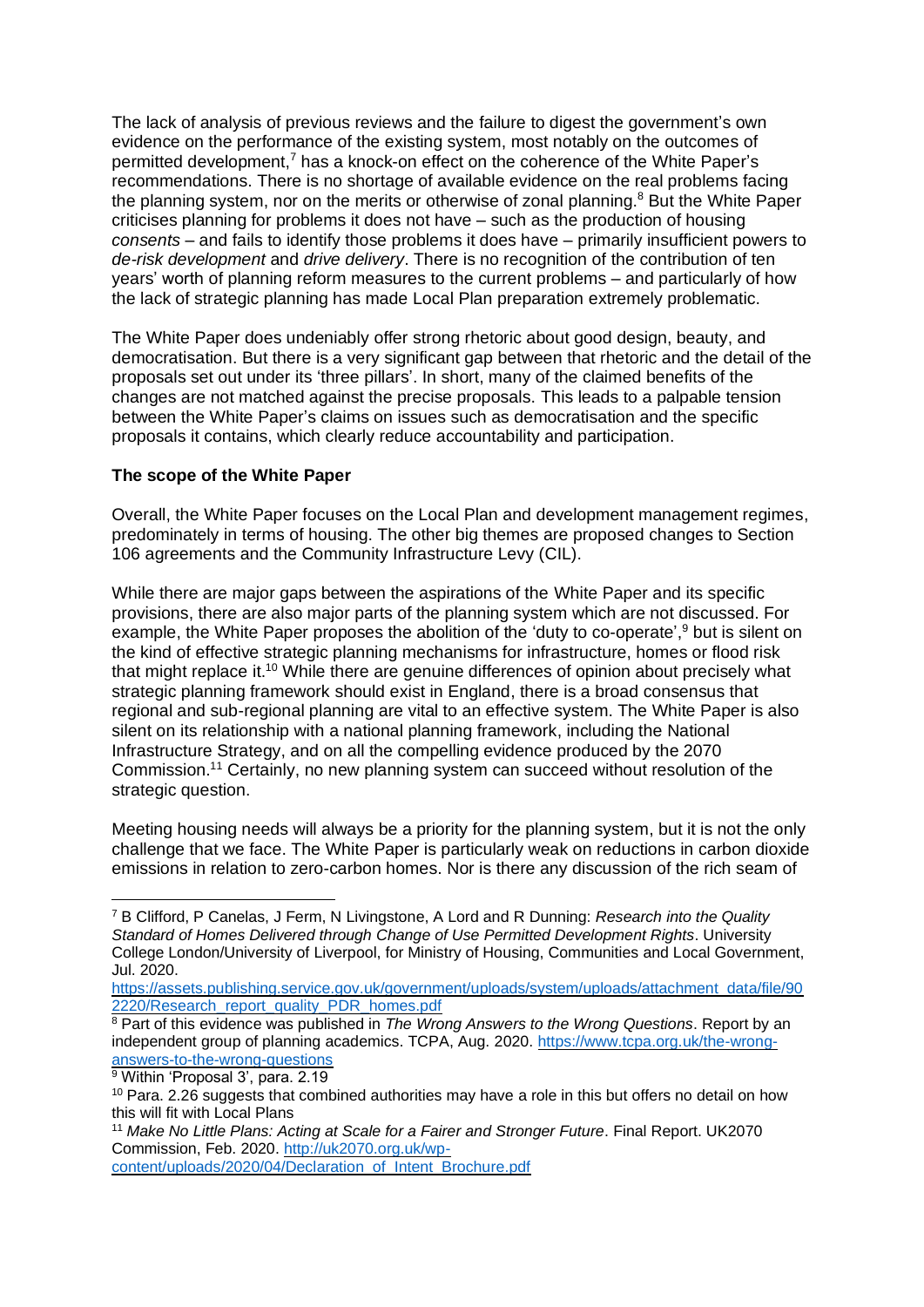The lack of analysis of previous reviews and the failure to digest the government's own evidence on the performance of the existing system, most notably on the outcomes of permitted development,<sup>7</sup> has a knock-on effect on the coherence of the White Paper's recommendations. There is no shortage of available evidence on the real problems facing the planning system, nor on the merits or otherwise of zonal planning. <sup>8</sup> But the White Paper criticises planning for problems it does not have – such as the production of housing *consents* – and fails to identify those problems it does have – primarily insufficient powers to *de-risk development* and *drive delivery*. There is no recognition of the contribution of ten years' worth of planning reform measures to the current problems – and particularly of how the lack of strategic planning has made Local Plan preparation extremely problematic.

The White Paper does undeniably offer strong rhetoric about good design, beauty, and democratisation. But there is a very significant gap between that rhetoric and the detail of the proposals set out under its 'three pillars'. In short, many of the claimed benefits of the changes are not matched against the precise proposals. This leads to a palpable tension between the White Paper's claims on issues such as democratisation and the specific proposals it contains, which clearly reduce accountability and participation.

## **The scope of the White Paper**

Overall, the White Paper focuses on the Local Plan and development management regimes, predominately in terms of housing. The other big themes are proposed changes to Section 106 agreements and the Community Infrastructure Levy (CIL).

While there are major gaps between the aspirations of the White Paper and its specific provisions, there are also major parts of the planning system which are not discussed. For example, the White Paper proposes the abolition of the 'duty to co-operate',<sup>9</sup> but is silent on the kind of effective strategic planning mechanisms for infrastructure, homes or flood risk that might replace it.<sup>10</sup> While there are genuine differences of opinion about precisely what strategic planning framework should exist in England, there is a broad consensus that regional and sub-regional planning are vital to an effective system. The White Paper is also silent on its relationship with a national planning framework, including the National Infrastructure Strategy, and on all the compelling evidence produced by the 2070 Commission.<sup>11</sup> Certainly, no new planning system can succeed without resolution of the strategic question.

Meeting housing needs will always be a priority for the planning system, but it is not the only challenge that we face. The White Paper is particularly weak on reductions in carbon dioxide emissions in relation to zero-carbon homes. Nor is there any discussion of the rich seam of

<sup>7</sup> B Clifford, P Canelas, J Ferm, N Livingstone, A Lord and R Dunning: *Research into the Quality Standard of Homes Delivered through Change of Use Permitted Development Rights*. University College London/University of Liverpool, for Ministry of Housing, Communities and Local Government, Jul. 2020.

[https://assets.publishing.service.gov.uk/government/uploads/system/uploads/attachment\\_data/file/90](https://assets.publishing.service.gov.uk/government/uploads/system/uploads/attachment_data/file/902220/Research_report_quality_PDR_homes.pdf) [2220/Research\\_report\\_quality\\_PDR\\_homes.pdf](https://assets.publishing.service.gov.uk/government/uploads/system/uploads/attachment_data/file/902220/Research_report_quality_PDR_homes.pdf)

<sup>8</sup> Part of this evidence was published in *The Wrong Answers to the Wrong Questions*. Report by an independent group of planning academics. TCPA, Aug. 2020. [https://www.tcpa.org.uk/the-wrong](https://www.tcpa.org.uk/the-wrong-answers-to-the-wrong-questions)[answers-to-the-wrong-questions](https://www.tcpa.org.uk/the-wrong-answers-to-the-wrong-questions)

<sup>9</sup> Within 'Proposal 3', para. 2.19

 $10$  Para. 2.26 suggests that combined authorities may have a role in this but offers no detail on how this will fit with Local Plans

<sup>11</sup> *Make No Little Plans: Acting at Scale for a Fairer and Stronger Future*. Final Report. UK2070 Commission, Feb. 2020. [http://uk2070.org.uk/wp-](http://uk2070.org.uk/wp-content/uploads/2020/04/Declaration_of_Intent_Brochure.pdf)

[content/uploads/2020/04/Declaration\\_of\\_Intent\\_Brochure.pdf](http://uk2070.org.uk/wp-content/uploads/2020/04/Declaration_of_Intent_Brochure.pdf)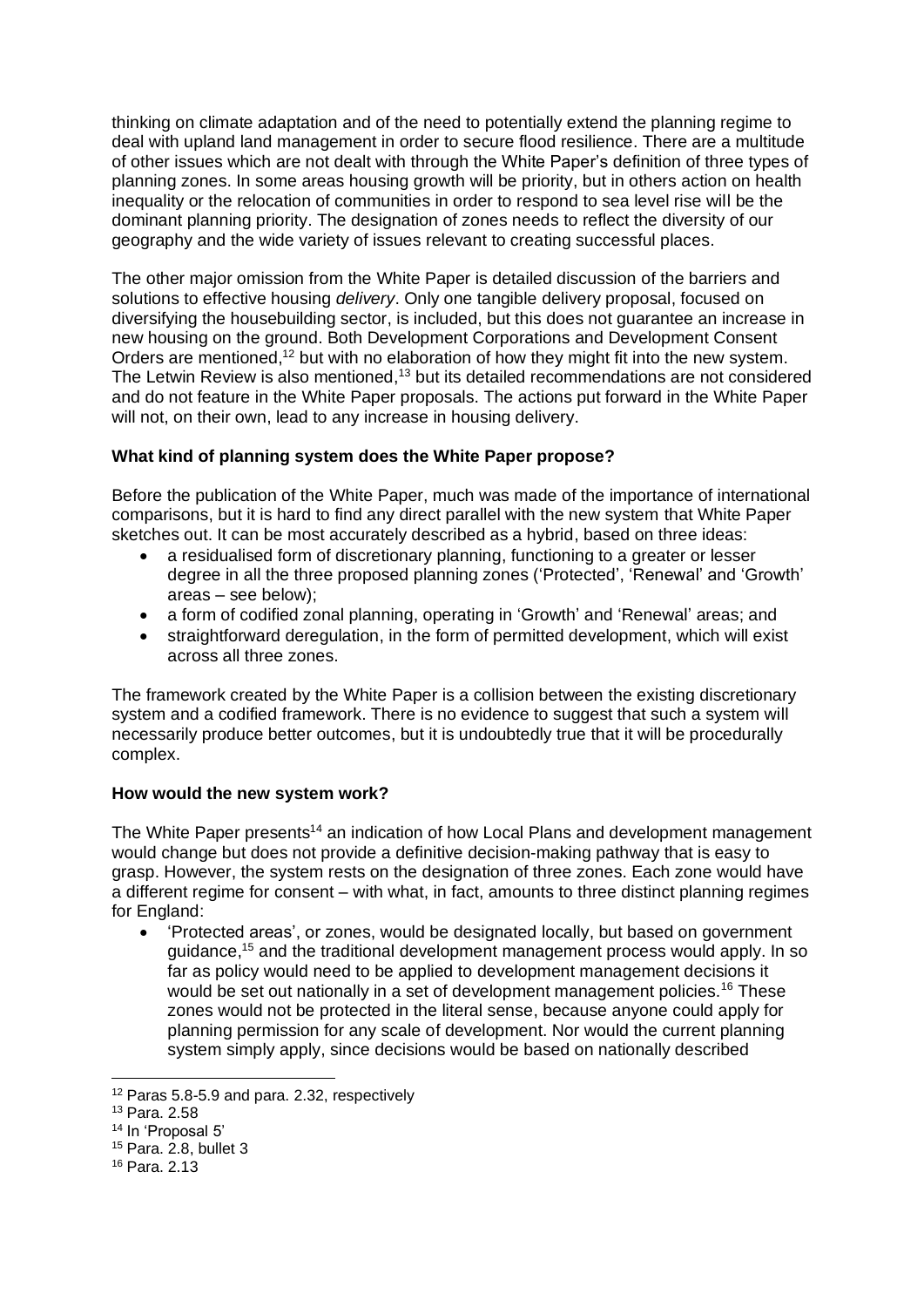thinking on climate adaptation and of the need to potentially extend the planning regime to deal with upland land management in order to secure flood resilience. There are a multitude of other issues which are not dealt with through the White Paper's definition of three types of planning zones. In some areas housing growth will be priority, but in others action on health inequality or the relocation of communities in order to respond to sea level rise will be the dominant planning priority. The designation of zones needs to reflect the diversity of our geography and the wide variety of issues relevant to creating successful places.

The other major omission from the White Paper is detailed discussion of the barriers and solutions to effective housing *delivery*. Only one tangible delivery proposal, focused on diversifying the housebuilding sector, is included, but this does not guarantee an increase in new housing on the ground. Both Development Corporations and Development Consent Orders are mentioned,<sup>12</sup> but with no elaboration of how they might fit into the new system. The Letwin Review is also mentioned,<sup>13</sup> but its detailed recommendations are not considered and do not feature in the White Paper proposals. The actions put forward in the White Paper will not, on their own, lead to any increase in housing delivery.

## **What kind of planning system does the White Paper propose?**

Before the publication of the White Paper, much was made of the importance of international comparisons, but it is hard to find any direct parallel with the new system that White Paper sketches out. It can be most accurately described as a hybrid, based on three ideas:

- a residualised form of discretionary planning, functioning to a greater or lesser degree in all the three proposed planning zones ('Protected', 'Renewal' and 'Growth' areas – see below);
- a form of codified zonal planning, operating in 'Growth' and 'Renewal' areas; and
- straightforward deregulation, in the form of permitted development, which will exist across all three zones.

The framework created by the White Paper is a collision between the existing discretionary system and a codified framework. There is no evidence to suggest that such a system will necessarily produce better outcomes, but it is undoubtedly true that it will be procedurally complex.

## **How would the new system work?**

The White Paper presents<sup>14</sup> an indication of how Local Plans and development management would change but does not provide a definitive decision-making pathway that is easy to grasp. However, the system rests on the designation of three zones. Each zone would have a different regime for consent – with what, in fact, amounts to three distinct planning regimes for England:

• 'Protected areas', or zones, would be designated locally, but based on government guidance, <sup>15</sup> and the traditional development management process would apply. In so far as policy would need to be applied to development management decisions it would be set out nationally in a set of development management policies.<sup>16</sup> These zones would not be protected in the literal sense, because anyone could apply for planning permission for any scale of development. Nor would the current planning system simply apply, since decisions would be based on nationally described

<sup>&</sup>lt;sup>12</sup> Paras 5.8-5.9 and para. 2.32, respectively

<sup>13</sup> Para. 2.58

<sup>14</sup> In 'Proposal 5'

<sup>15</sup> Para. 2.8, bullet 3

<sup>16</sup> Para. 2.13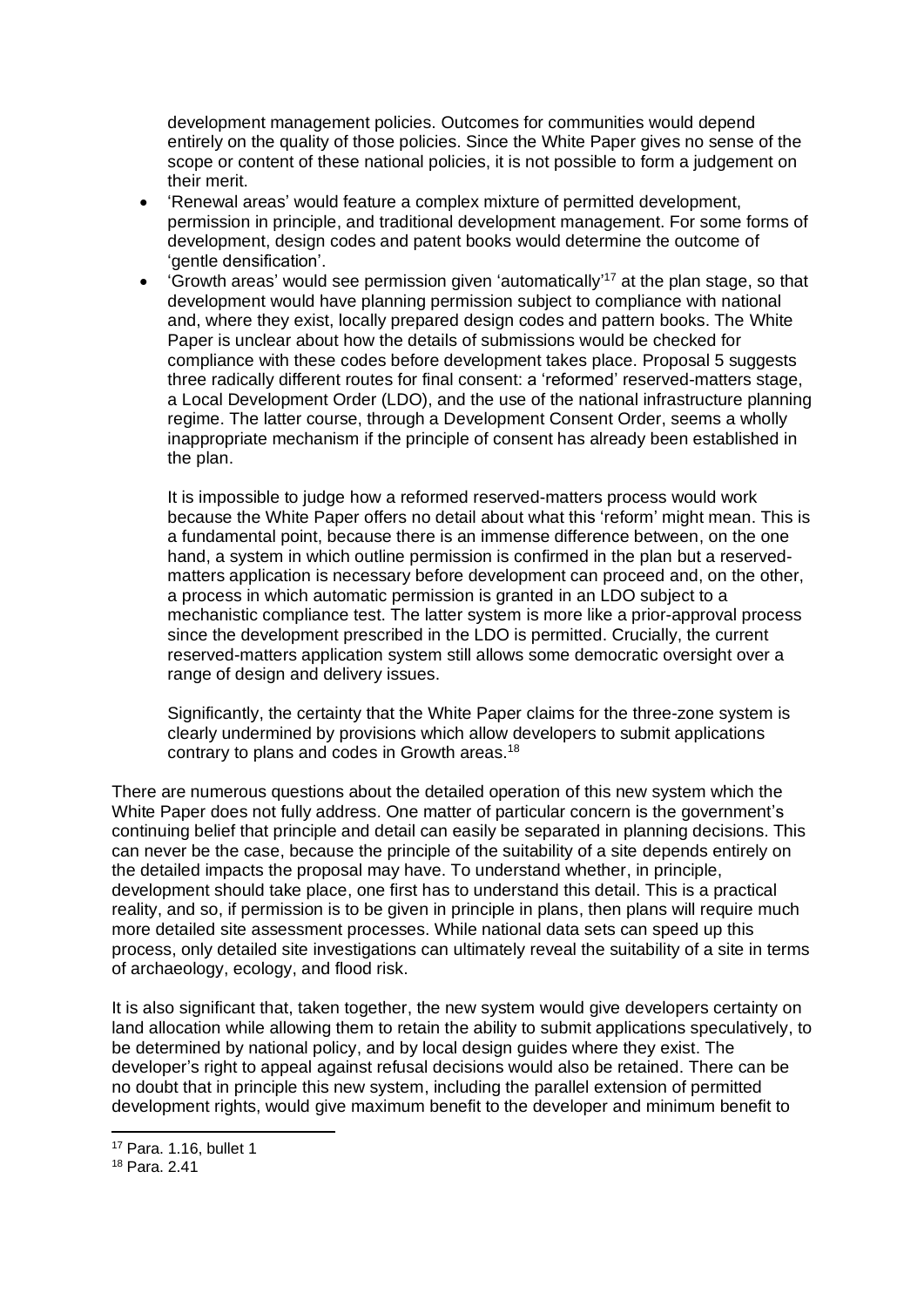development management policies. Outcomes for communities would depend entirely on the quality of those policies. Since the White Paper gives no sense of the scope or content of these national policies, it is not possible to form a judgement on their merit.

- 'Renewal areas' would feature a complex mixture of permitted development, permission in principle, and traditional development management. For some forms of development, design codes and patent books would determine the outcome of 'gentle densification'.
- 'Growth areas' would see permission given 'automatically'<sup>17</sup> at the plan stage, so that development would have planning permission subject to compliance with national and, where they exist, locally prepared design codes and pattern books. The White Paper is unclear about how the details of submissions would be checked for compliance with these codes before development takes place. Proposal 5 suggests three radically different routes for final consent: a 'reformed' reserved-matters stage, a Local Development Order (LDO), and the use of the national infrastructure planning regime. The latter course, through a Development Consent Order, seems a wholly inappropriate mechanism if the principle of consent has already been established in the plan.

It is impossible to judge how a reformed reserved-matters process would work because the White Paper offers no detail about what this 'reform' might mean. This is a fundamental point, because there is an immense difference between, on the one hand, a system in which outline permission is confirmed in the plan but a reservedmatters application is necessary before development can proceed and, on the other, a process in which automatic permission is granted in an LDO subject to a mechanistic compliance test. The latter system is more like a prior-approval process since the development prescribed in the LDO is permitted. Crucially, the current reserved-matters application system still allows some democratic oversight over a range of design and delivery issues.

Significantly, the certainty that the White Paper claims for the three-zone system is clearly undermined by provisions which allow developers to submit applications contrary to plans and codes in Growth areas.<sup>18</sup>

There are numerous questions about the detailed operation of this new system which the White Paper does not fully address. One matter of particular concern is the government's continuing belief that principle and detail can easily be separated in planning decisions. This can never be the case, because the principle of the suitability of a site depends entirely on the detailed impacts the proposal may have. To understand whether, in principle, development should take place, one first has to understand this detail. This is a practical reality, and so, if permission is to be given in principle in plans, then plans will require much more detailed site assessment processes. While national data sets can speed up this process, only detailed site investigations can ultimately reveal the suitability of a site in terms of archaeology, ecology, and flood risk.

It is also significant that, taken together, the new system would give developers certainty on land allocation while allowing them to retain the ability to submit applications speculatively, to be determined by national policy, and by local design guides where they exist. The developer's right to appeal against refusal decisions would also be retained. There can be no doubt that in principle this new system, including the parallel extension of permitted development rights, would give maximum benefit to the developer and minimum benefit to

<sup>17</sup> Para. 1.16, bullet 1

<sup>18</sup> Para. 2.41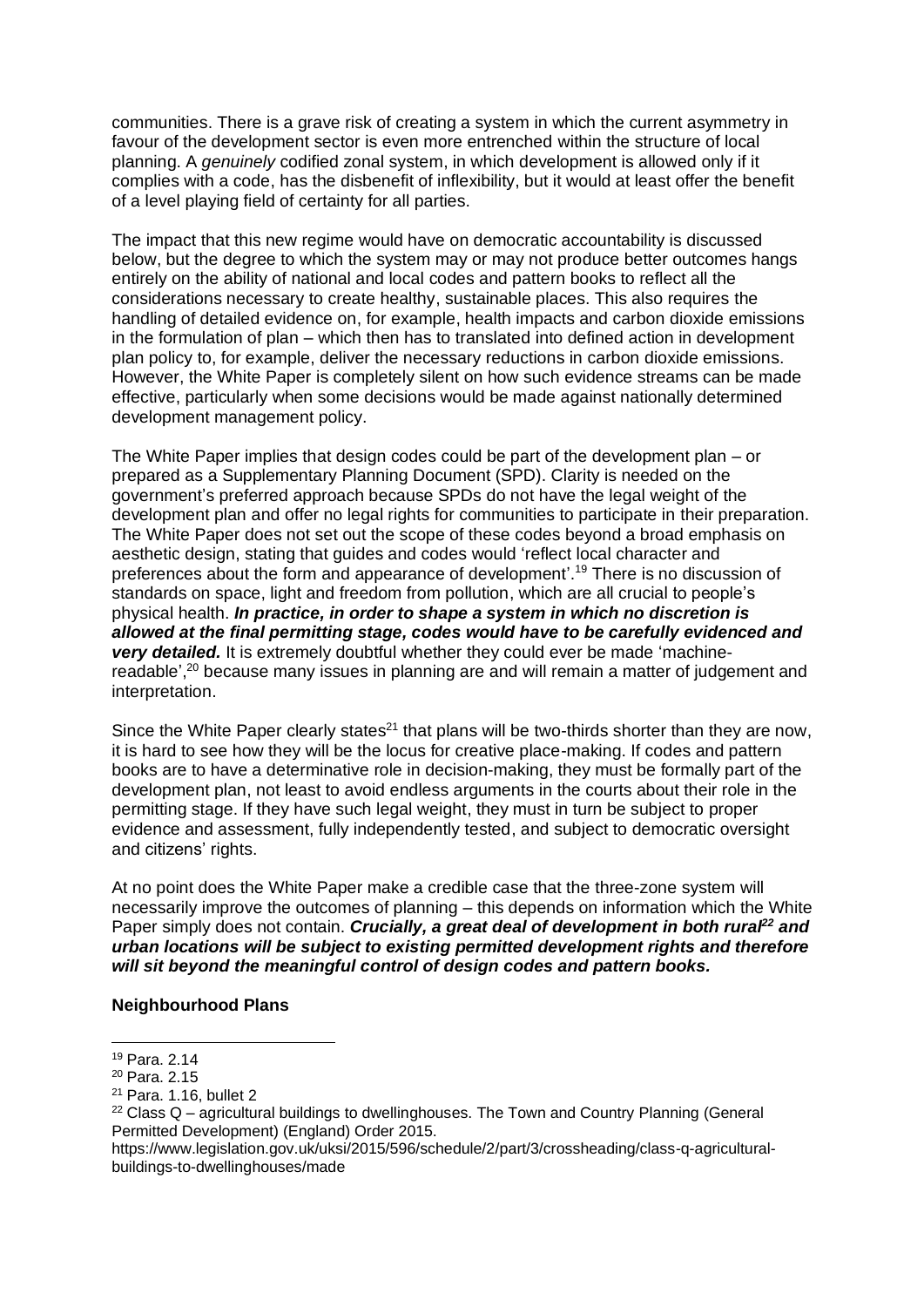communities. There is a grave risk of creating a system in which the current asymmetry in favour of the development sector is even more entrenched within the structure of local planning. A *genuinely* codified zonal system, in which development is allowed only if it complies with a code, has the disbenefit of inflexibility, but it would at least offer the benefit of a level playing field of certainty for all parties.

The impact that this new regime would have on democratic accountability is discussed below, but the degree to which the system may or may not produce better outcomes hangs entirely on the ability of national and local codes and pattern books to reflect all the considerations necessary to create healthy, sustainable places. This also requires the handling of detailed evidence on, for example, health impacts and carbon dioxide emissions in the formulation of plan – which then has to translated into defined action in development plan policy to, for example, deliver the necessary reductions in carbon dioxide emissions. However, the White Paper is completely silent on how such evidence streams can be made effective, particularly when some decisions would be made against nationally determined development management policy.

The White Paper implies that design codes could be part of the development plan – or prepared as a Supplementary Planning Document (SPD). Clarity is needed on the government's preferred approach because SPDs do not have the legal weight of the development plan and offer no legal rights for communities to participate in their preparation. The White Paper does not set out the scope of these codes beyond a broad emphasis on aesthetic design, stating that guides and codes would 'reflect local character and preferences about the form and appearance of development'. <sup>19</sup> There is no discussion of standards on space, light and freedom from pollution, which are all crucial to people's physical health. *In practice, in order to shape a system in which no discretion is allowed at the final permitting stage, codes would have to be carefully evidenced and*  **very detailed.** It is extremely doubtful whether they could ever be made 'machinereadable',<sup>20</sup> because many issues in planning are and will remain a matter of judgement and interpretation.

Since the White Paper clearly states<sup>21</sup> that plans will be two-thirds shorter than they are now, it is hard to see how they will be the locus for creative place-making. If codes and pattern books are to have a determinative role in decision-making, they must be formally part of the development plan, not least to avoid endless arguments in the courts about their role in the permitting stage. If they have such legal weight, they must in turn be subject to proper evidence and assessment, fully independently tested, and subject to democratic oversight and citizens' rights.

At no point does the White Paper make a credible case that the three-zone system will necessarily improve the outcomes of planning – this depends on information which the White Paper simply does not contain. *Crucially, a great deal of development in both rural*<sup>22</sup> and *urban locations will be subject to existing permitted development rights and therefore will sit beyond the meaningful control of design codes and pattern books.*

#### **Neighbourhood Plans**

<sup>19</sup> Para. 2.14

<sup>20</sup> Para. 2.15

<sup>21</sup> Para. 1.16, bullet 2

<sup>&</sup>lt;sup>22</sup> Class Q – agricultural buildings to dwellinghouses. The Town and Country Planning (General Permitted Development) (England) Order 2015.

https://www.legislation.gov.uk/uksi/2015/596/schedule/2/part/3/crossheading/class-q-agriculturalbuildings-to-dwellinghouses/made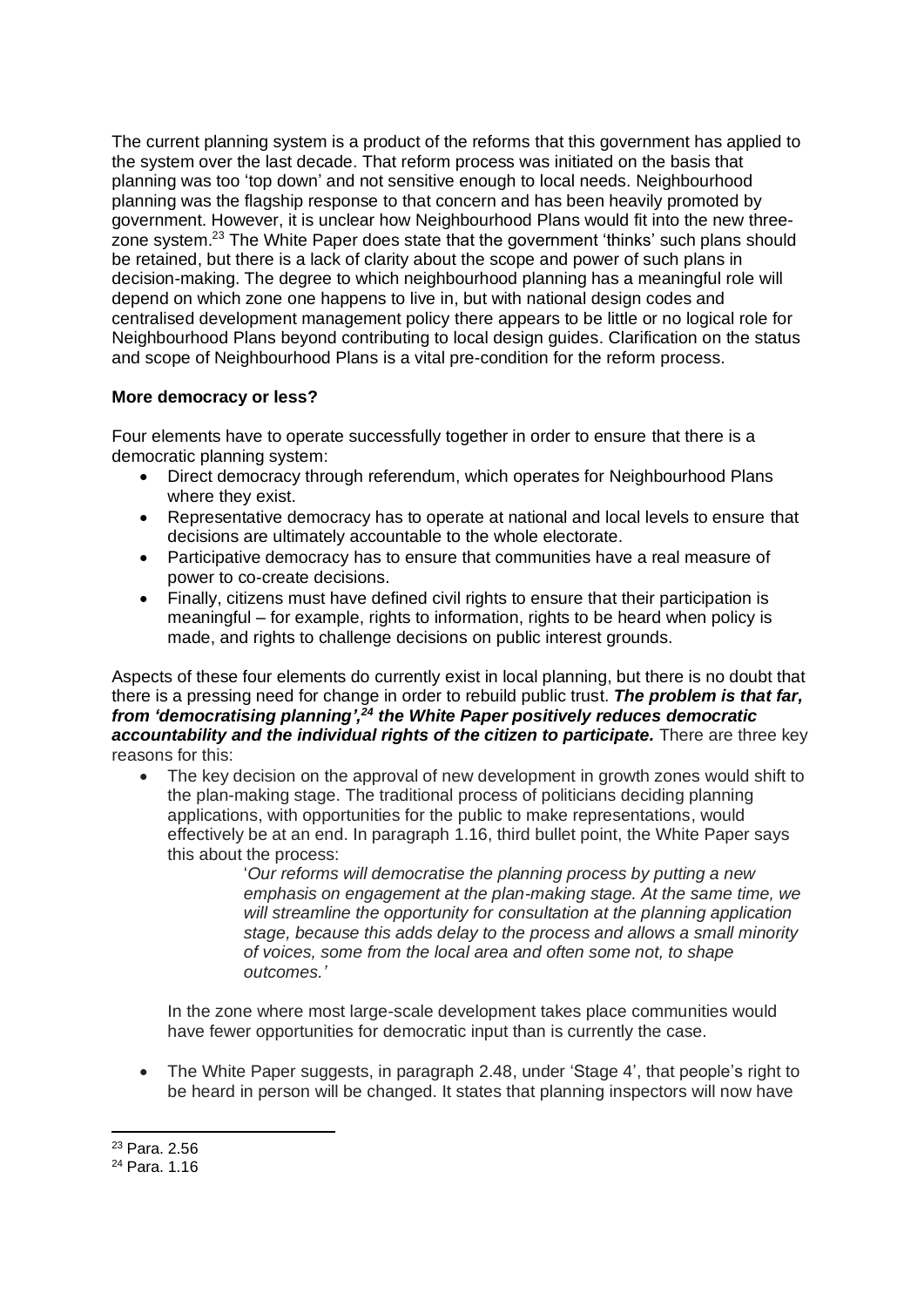The current planning system is a product of the reforms that this government has applied to the system over the last decade. That reform process was initiated on the basis that planning was too 'top down' and not sensitive enough to local needs. Neighbourhood planning was the flagship response to that concern and has been heavily promoted by government. However, it is unclear how Neighbourhood Plans would fit into the new threezone system.<sup>23</sup> The White Paper does state that the government 'thinks' such plans should be retained, but there is a lack of clarity about the scope and power of such plans in decision-making. The degree to which neighbourhood planning has a meaningful role will depend on which zone one happens to live in, but with national design codes and centralised development management policy there appears to be little or no logical role for Neighbourhood Plans beyond contributing to local design guides. Clarification on the status and scope of Neighbourhood Plans is a vital pre-condition for the reform process.

## **More democracy or less?**

Four elements have to operate successfully together in order to ensure that there is a democratic planning system:

- Direct democracy through referendum, which operates for Neighbourhood Plans where they exist.
- Representative democracy has to operate at national and local levels to ensure that decisions are ultimately accountable to the whole electorate.
- Participative democracy has to ensure that communities have a real measure of power to co-create decisions.
- Finally, citizens must have defined civil rights to ensure that their participation is meaningful – for example, rights to information, rights to be heard when policy is made, and rights to challenge decisions on public interest grounds.

Aspects of these four elements do currently exist in local planning, but there is no doubt that there is a pressing need for change in order to rebuild public trust. *The problem is that far, from 'democratising planning', <sup>24</sup> the White Paper positively reduces democratic accountability and the individual rights of the citizen to participate.* There are three key reasons for this:

• The key decision on the approval of new development in growth zones would shift to the plan-making stage. The traditional process of politicians deciding planning applications, with opportunities for the public to make representations, would effectively be at an end. In paragraph 1.16, third bullet point, the White Paper says this about the process:

'*Our reforms will democratise the planning process by putting a new emphasis on engagement at the plan-making stage. At the same time, we will streamline the opportunity for consultation at the planning application stage, because this adds delay to the process and allows a small minority of voices, some from the local area and often some not, to shape outcomes.'*

In the zone where most large-scale development takes place communities would have fewer opportunities for democratic input than is currently the case.

• The White Paper suggests, in paragraph 2.48, under 'Stage 4', that people's right to be heard in person will be changed. It states that planning inspectors will now have

<sup>23</sup> Para. 2.56

 $24$  Para. 1.16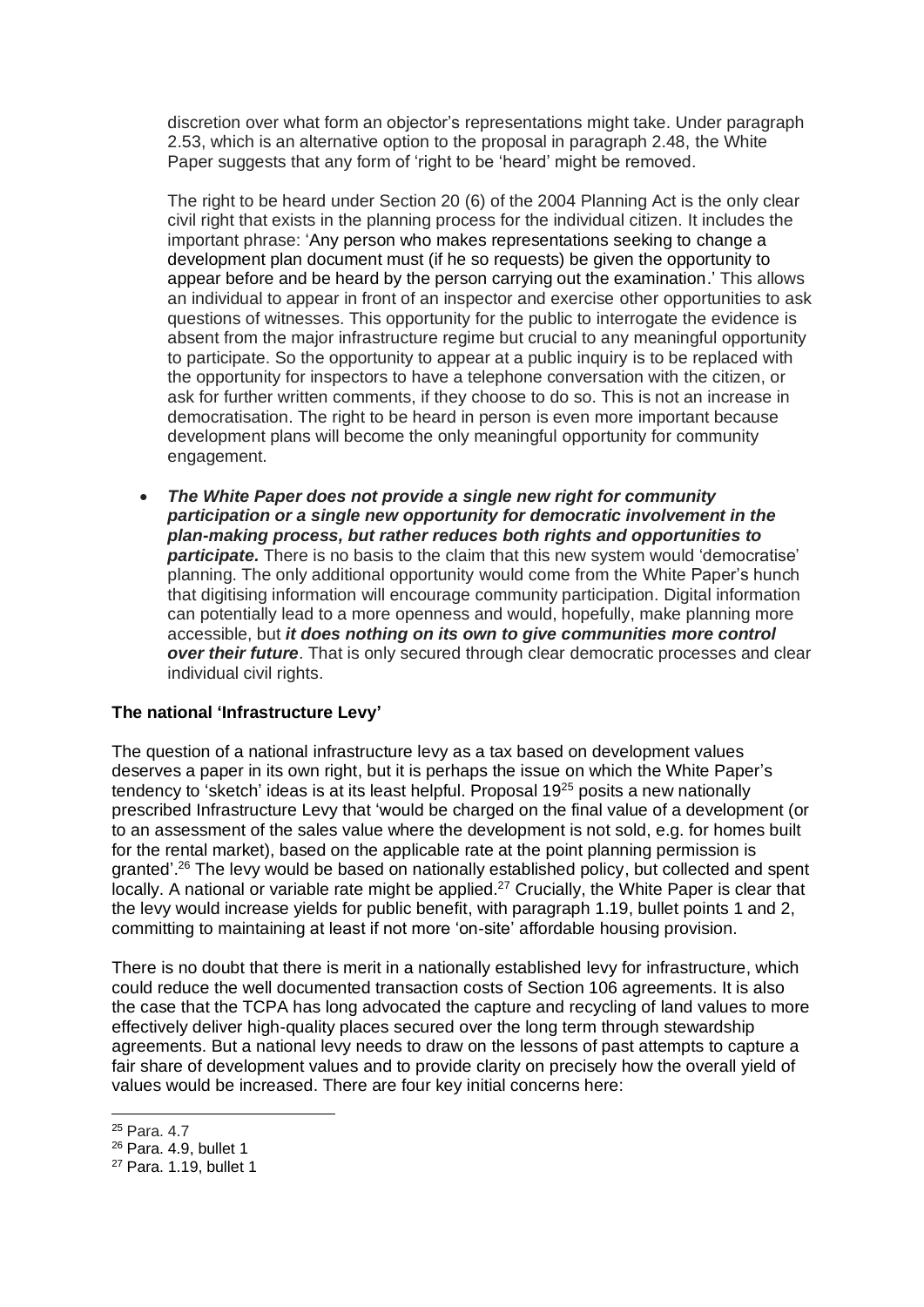discretion over what form an objector's representations might take. Under paragraph 2.53, which is an alternative option to the proposal in paragraph 2.48, the White Paper suggests that any form of 'right to be 'heard' might be removed.

The right to be heard under Section 20 (6) of the 2004 Planning Act is the only clear civil right that exists in the planning process for the individual citizen. It includes the important phrase: 'Any person who makes representations seeking to change a development plan document must (if he so requests) be given the opportunity to appear before and be heard by the person carrying out the examination.' This allows an individual to appear in front of an inspector and exercise other opportunities to ask questions of witnesses. This opportunity for the public to interrogate the evidence is absent from the major infrastructure regime but crucial to any meaningful opportunity to participate. So the opportunity to appear at a public inquiry is to be replaced with the opportunity for inspectors to have a telephone conversation with the citizen, or ask for further written comments, if they choose to do so. This is not an increase in democratisation. The right to be heard in person is even more important because development plans will become the only meaningful opportunity for community engagement.

• *The White Paper does not provide a single new right for community participation or a single new opportunity for democratic involvement in the plan-making process, but rather reduces both rights and opportunities to participate.* There is no basis to the claim that this new system would 'democratise' planning. The only additional opportunity would come from the White Paper's hunch that digitising information will encourage community participation. Digital information can potentially lead to a more openness and would, hopefully, make planning more accessible, but *it does nothing on its own to give communities more control*  **over their future**. That is only secured through clear democratic processes and clear individual civil rights.

## **The national 'Infrastructure Levy'**

The question of a national infrastructure levy as a tax based on development values deserves a paper in its own right, but it is perhaps the issue on which the White Paper's tendency to 'sketch' ideas is at its least helpful. Proposal 19<sup>25</sup> posits a new nationally prescribed Infrastructure Levy that 'would be charged on the final value of a development (or to an assessment of the sales value where the development is not sold, e.g. for homes built for the rental market), based on the applicable rate at the point planning permission is granted'.<sup>26</sup> The levy would be based on nationally established policy, but collected and spent locally. A national or variable rate might be applied.<sup>27</sup> Crucially, the White Paper is clear that the levy would increase yields for public benefit, with paragraph 1.19, bullet points 1 and 2, committing to maintaining at least if not more 'on-site' affordable housing provision.

There is no doubt that there is merit in a nationally established levy for infrastructure, which could reduce the well documented transaction costs of Section 106 agreements. It is also the case that the TCPA has long advocated the capture and recycling of land values to more effectively deliver high-quality places secured over the long term through stewardship agreements. But a national levy needs to draw on the lessons of past attempts to capture a fair share of development values and to provide clarity on precisely how the overall yield of values would be increased. There are four key initial concerns here:

<sup>25</sup> Para. 4.7

<sup>26</sup> Para. 4.9, bullet 1

<sup>27</sup> Para. 1.19, bullet 1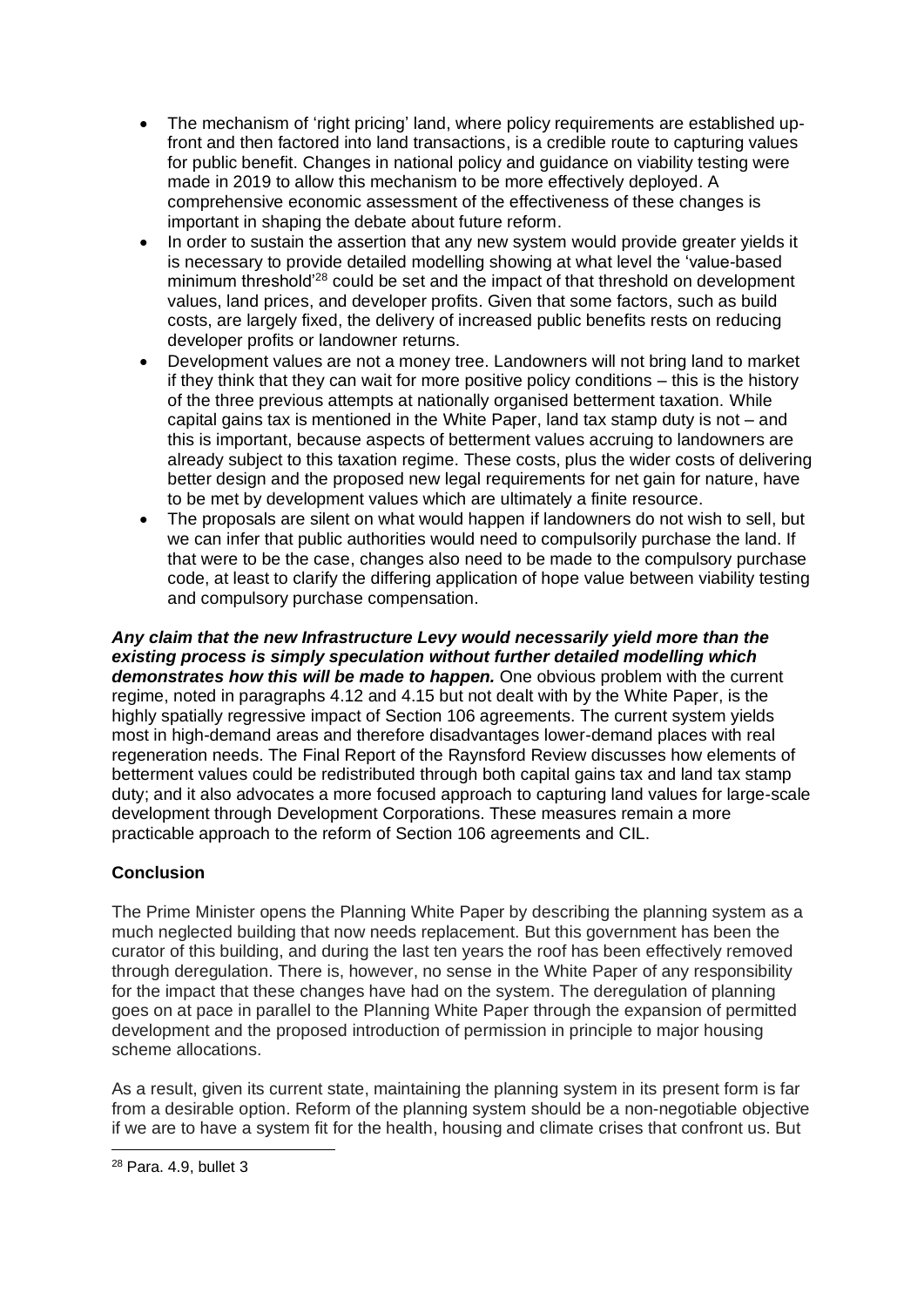- The mechanism of 'right pricing' land, where policy requirements are established upfront and then factored into land transactions, is a credible route to capturing values for public benefit. Changes in national policy and guidance on viability testing were made in 2019 to allow this mechanism to be more effectively deployed. A comprehensive economic assessment of the effectiveness of these changes is important in shaping the debate about future reform.
- In order to sustain the assertion that any new system would provide greater yields it is necessary to provide detailed modelling showing at what level the 'value-based minimum threshold'<sup>28</sup> could be set and the impact of that threshold on development values, land prices, and developer profits. Given that some factors, such as build costs, are largely fixed, the delivery of increased public benefits rests on reducing developer profits or landowner returns.
- Development values are not a money tree. Landowners will not bring land to market if they think that they can wait for more positive policy conditions – this is the history of the three previous attempts at nationally organised betterment taxation. While capital gains tax is mentioned in the White Paper, land tax stamp duty is not – and this is important, because aspects of betterment values accruing to landowners are already subject to this taxation regime. These costs, plus the wider costs of delivering better design and the proposed new legal requirements for net gain for nature, have to be met by development values which are ultimately a finite resource.
- The proposals are silent on what would happen if landowners do not wish to sell, but we can infer that public authorities would need to compulsorily purchase the land. If that were to be the case, changes also need to be made to the compulsory purchase code, at least to clarify the differing application of hope value between viability testing and compulsory purchase compensation.

*Any claim that the new Infrastructure Levy would necessarily yield more than the existing process is simply speculation without further detailed modelling which demonstrates how this will be made to happen.* One obvious problem with the current regime, noted in paragraphs 4.12 and 4.15 but not dealt with by the White Paper, is the highly spatially regressive impact of Section 106 agreements. The current system yields most in high-demand areas and therefore disadvantages lower-demand places with real regeneration needs. The Final Report of the Raynsford Review discusses how elements of betterment values could be redistributed through both capital gains tax and land tax stamp duty; and it also advocates a more focused approach to capturing land values for large-scale development through Development Corporations. These measures remain a more practicable approach to the reform of Section 106 agreements and CIL.

# **Conclusion**

The Prime Minister opens the Planning White Paper by describing the planning system as a much neglected building that now needs replacement. But this government has been the curator of this building, and during the last ten years the roof has been effectively removed through deregulation. There is, however, no sense in the White Paper of any responsibility for the impact that these changes have had on the system. The deregulation of planning goes on at pace in parallel to the Planning White Paper through the expansion of permitted development and the proposed introduction of permission in principle to major housing scheme allocations.

As a result, given its current state, maintaining the planning system in its present form is far from a desirable option. Reform of the planning system should be a non-negotiable objective if we are to have a system fit for the health, housing and climate crises that confront us. But

<sup>28</sup> Para. 4.9, bullet 3